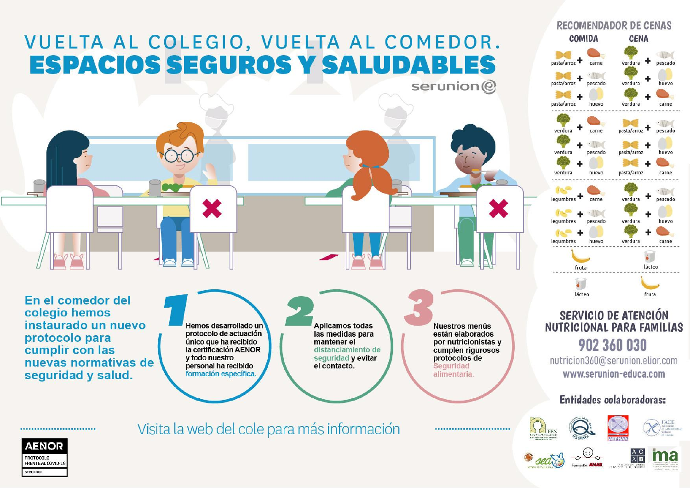